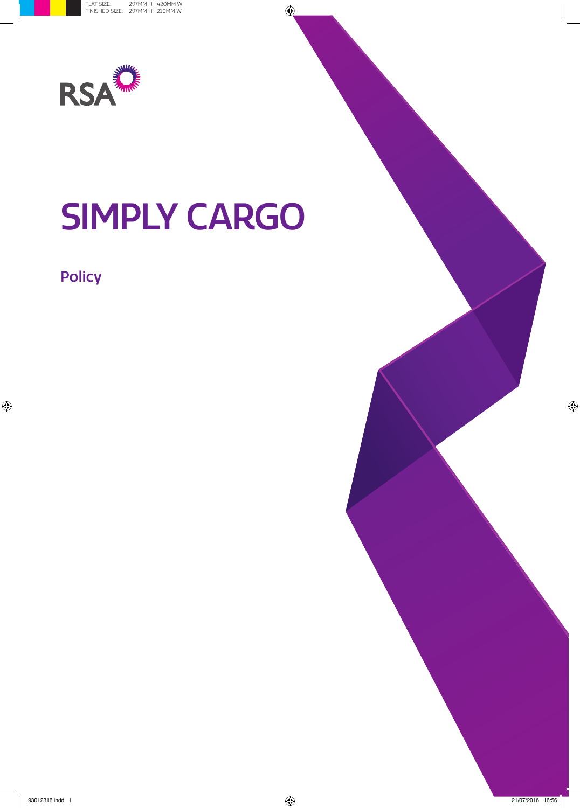

# SIMPLY CARGO

# Policy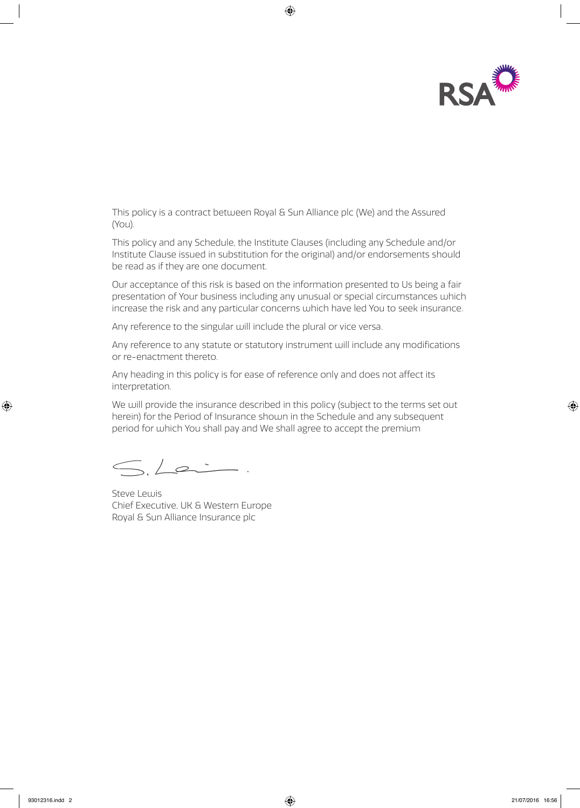

This policy is a contract between Royal & Sun Alliance plc (We) and the Assured (You).

This policy and any Schedule, the Institute Clauses (including any Schedule and/or Institute Clause issued in substitution for the original) and/or endorsements should be read as if they are one document.

Our acceptance of this risk is based on the information presented to Us being a fair presentation of Your business including any unusual or special circumstances which increase the risk and any particular concerns which have led You to seek insurance.

Any reference to the singular will include the plural or vice versa.

Any reference to any statute or statutory instrument will include any modifications or re-enactment thereto.

Any heading in this policy is for ease of reference only and does not affect its interpretation.

We will provide the insurance described in this policy (subject to the terms set out herein) for the Period of Insurance shown in the Schedule and any subsequent period for which You shall pay and We shall agree to accept the premium

 $\leq$   $\sqrt{2}$ .

Steve Lewis Chief Executive, UK & Western Europe Royal & Sun Alliance Insurance plc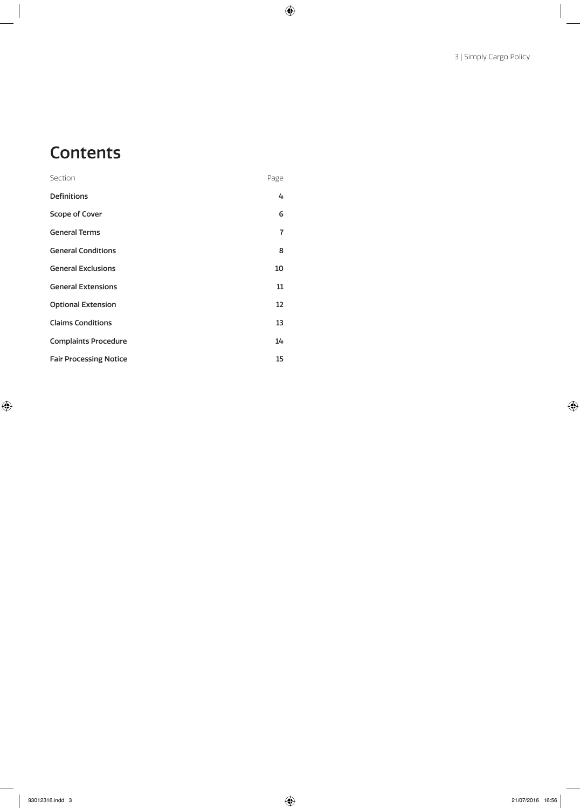# **Contents**

| Section                       | Page           |
|-------------------------------|----------------|
| <b>Definitions</b>            | 4              |
| Scope of Cover                | 6              |
| <b>General Terms</b>          | $\overline{7}$ |
| <b>General Conditions</b>     | 8              |
| <b>General Exclusions</b>     | 10             |
| <b>General Extensions</b>     | 11             |
| <b>Optional Extension</b>     | 12             |
| <b>Claims Conditions</b>      | 13             |
| <b>Complaints Procedure</b>   | 14             |
| <b>Fair Processing Notice</b> | 15             |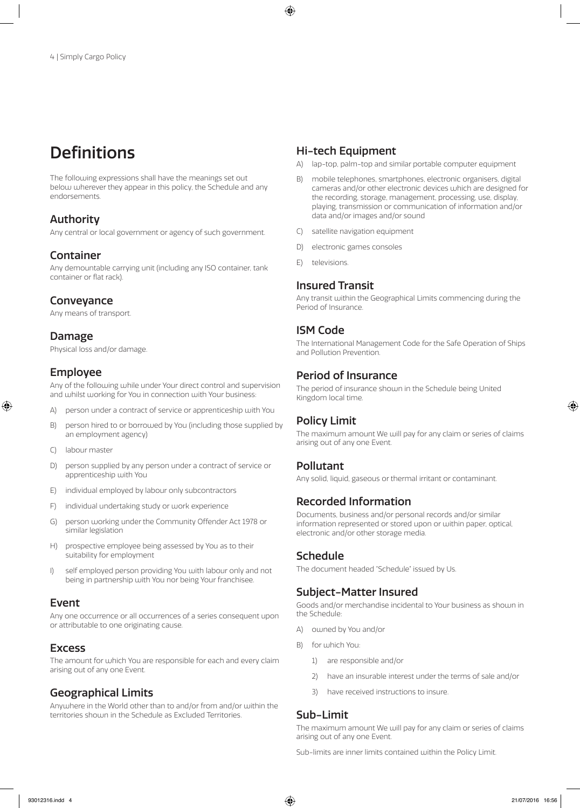# **Definitions**

The following expressions shall have the meanings set out below wherever they appear in this policy, the Schedule and any endorsements.

# Authority

Any central or local government or agency of such government.

# **Container**

Any demountable carrying unit (including any ISO container, tank container or flat rack).

# **Conveyance**

Any means of transport.

# Damage

Physical loss and/or damage.

# Employee

Any of the following while under Your direct control and supervision and whilst working for You in connection with Your business:

- A) person under a contract of service or apprenticeship with You
- B) person hired to or borrowed by You (including those supplied by an employment agency)
- C) labour master
- D) person supplied by any person under a contract of service or apprenticeship with You
- E) individual employed by labour only subcontractors
- F) individual undertaking study or work experience
- G) person working under the Community Offender Act 1978 or similar legislation
- H) prospective employee being assessed by You as to their suitability for employment
- I) self employed person providing You with labour only and not being in partnership with You nor being Your franchisee.

# Event

Any one occurrence or all occurrences of a series consequent upon or attributable to one originating cause.

# Excess

The amount for which You are responsible for each and every claim arising out of any one Event.

# Geographical Limits

Anywhere in the World other than to and/or from and/or within the territories shown in the Schedule as Excluded Territories.

# Hi-tech Equipment

- A) lap-top, palm-top and similar portable computer equipment
- B) mobile telephones, smartphones, electronic organisers, digital cameras and/or other electronic devices which are designed for the recording, storage, management, processing, use, display, playing, transmission or communication of information and/or data and/or images and/or sound
- C) satellite navigation equipment
- D) electronic games consoles
- E) televisions.

# Insured Transit

Any transit within the Geographical Limits commencing during the Period of Insurance.

# ISM Code

The International Management Code for the Safe Operation of Ships and Pollution Prevention.

# Period of Insurance

The period of insurance shown in the Schedule being United Kingdom local time.

# Policy Limit

The maximum amount We will pay for any claim or series of claims arising out of any one Event.

# Pollutant

Any solid, liquid, gaseous or thermal irritant or contaminant.

# Recorded Information

Documents, business and/or personal records and/or similar information represented or stored upon or within paper, optical, electronic and/or other storage media.

# Schedule

The document headed "Schedule" issued by Us.

# Subject-Matter Insured

Goods and/or merchandise incidental to Your business as shown in the Schedule:

- A) owned by You and/or
- B) for which You:
	- 1) are responsible and/or
	- 2) have an insurable interest under the terms of sale and/or
	- 3) have received instructions to insure.

# Sub-Limit

The maximum amount We will pay for any claim or series of claims arising out of any one Event.

Sub-limits are inner limits contained within the Policy Limit.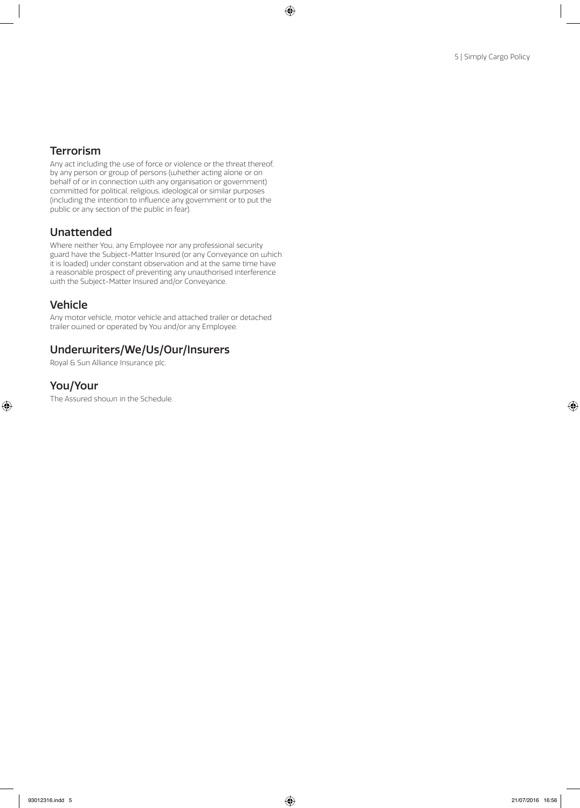### Terrorism

Any act including the use of force or violence or the threat thereof, by any person or group of persons (whether acting alone or on behalf of or in connection with any organisation or government) committed for political, religious, ideological or similar purposes (including the intention to influence any government or to put the public or any section of the public in fear).

# Unattended

Where neither You, any Employee nor any professional security guard have the Subject-Matter Insured (or any Conveyance on which it is loaded) under constant observation and at the same time have a reasonable prospect of preventing any unauthorised interference with the Subject-Matter Insured and/or Conveyance.

# Vehicle

Any motor vehicle, motor vehicle and attached trailer or detached trailer owned or operated by You and/or any Employee.

# Underwriters/We/Us/Our/Insurers

Royal & Sun Alliance Insurance plc.

# You/Your

The Assured shown in the Schedule.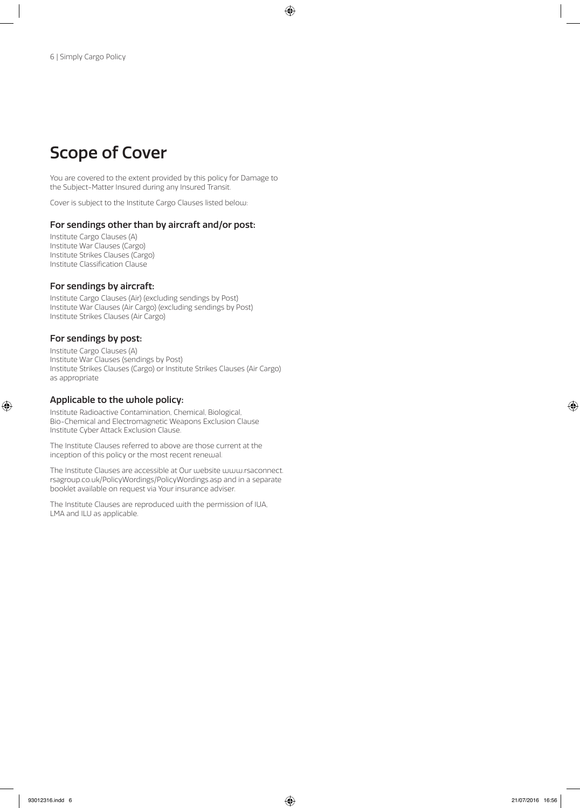# Scope of Cover

You are covered to the extent provided by this policy for Damage to the Subject-Matter Insured during any Insured Transit.

Cover is subject to the Institute Cargo Clauses listed below:

### For sendings other than by aircraft and/or post:

Institute Cargo Clauses (A) Institute War Clauses (Cargo) Institute Strikes Clauses (Cargo) Institute Classification Clause

### For sendings by aircraft:

Institute Cargo Clauses (Air) (excluding sendings by Post) Institute War Clauses (Air Cargo) (excluding sendings by Post) Institute Strikes Clauses (Air Cargo)

### For sendings by post:

Institute Cargo Clauses (A) Institute War Clauses (sendings by Post) Institute Strikes Clauses (Cargo) or Institute Strikes Clauses (Air Cargo) as appropriate

### Applicable to the whole policy:

Institute Radioactive Contamination, Chemical, Biological, Bio-Chemical and Electromagnetic Weapons Exclusion Clause Institute Cyber Attack Exclusion Clause.

The Institute Clauses referred to above are those current at the inception of this policy or the most recent renewal.

The Institute Clauses are accessible at Our website www.rsaconnect. rsagroup.co.uk/PolicyWordings/PolicyWordings.asp and in a separate booklet available on request via Your insurance adviser.

The Institute Clauses are reproduced with the permission of IUA, LMA and ILU as applicable.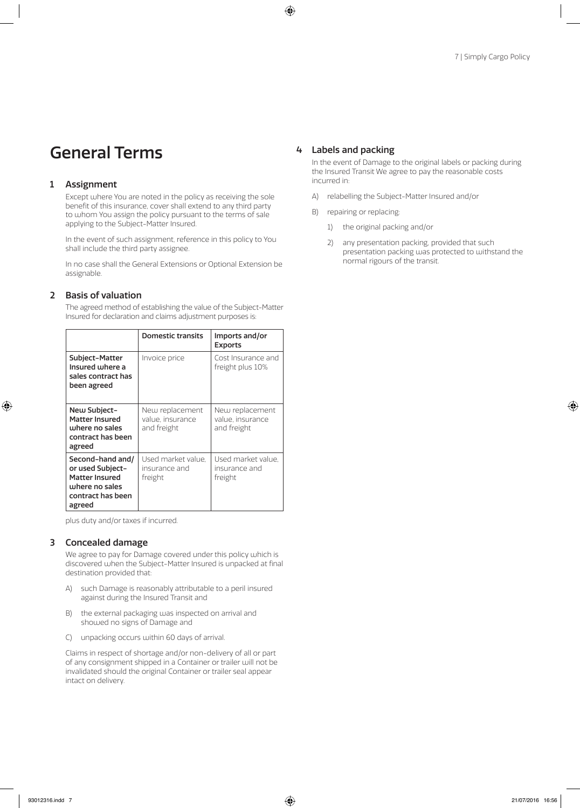# General Terms

### 1 Assignment

Except where You are noted in the policy as receiving the sole benefit of this insurance, cover shall extend to any third party to whom You assign the policy pursuant to the terms of sale applying to the Subject-Matter Insured.

In the event of such assignment, reference in this policy to You shall include the third party assignee.

In no case shall the General Extensions or Optional Extension be assignable.

### 2 Basis of valuation

The agreed method of establishing the value of the Subject-Matter Insured for declaration and claims adjustment purposes is:

|                                                                                                                | <b>Domestic transits</b>                           | Imports and/or<br><b>Exports</b>                   |
|----------------------------------------------------------------------------------------------------------------|----------------------------------------------------|----------------------------------------------------|
| Subject-Matter<br>Insured where a<br>sales contract has<br>been agreed                                         | Invoice price                                      | Cost Insurance and<br>freight plus 10%             |
| New Subject-<br>Matter Insured<br>where no sales<br>contract has been<br>agreed                                | New replacement<br>value, insurance<br>and freight | New replacement<br>value, insurance<br>and freight |
| Second-hand and/<br>or used Subject-<br><b>Matter Insured</b><br>where no sales<br>contract has been<br>agreed | Used market value.<br>insurance and<br>freight     | Used market value.<br>insurance and<br>freight     |

plus duty and/or taxes if incurred.

### 3 Concealed damage

We agree to pay for Damage covered under this policy which is discovered when the Subject-Matter Insured is unpacked at final destination provided that:

- A) such Damage is reasonably attributable to a peril insured against during the Insured Transit and
- B) the external packaging was inspected on arrival and showed no signs of Damage and
- C) unpacking occurs within 60 days of arrival.

Claims in respect of shortage and/or non-delivery of all or part of any consignment shipped in a Container or trailer will not be invalidated should the original Container or trailer seal appear intact on delivery.

### 4 Labels and packing

In the event of Damage to the original labels or packing during the Insured Transit We agree to pay the reasonable costs incurred in:

- A) relabelling the Subject-Matter Insured and/or
- B) repairing or replacing:
	- 1) the original packing and/or
	- 2) any presentation packing, provided that such presentation packing was protected to withstand the normal rigours of the transit.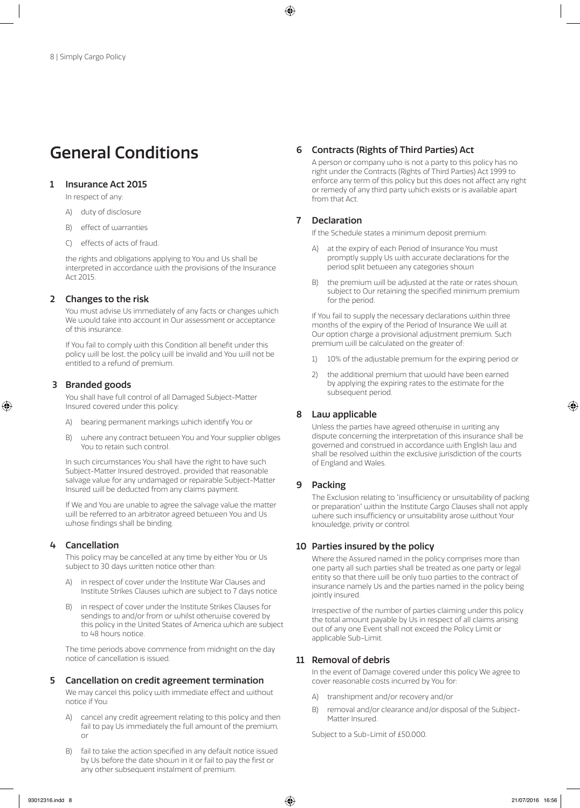# General Conditions

### 1 Insurance Act 2015

In respect of any:

- A) duty of disclosure
- $B)$  effect of warranties
- C) effects of acts of fraud.

the rights and obligations applying to You and Us shall be interpreted in accordance with the provisions of the Insurance Act 2015.

### 2 Changes to the risk

You must advise Us immediately of any facts or changes which We would take into account in Our assessment or acceptance of this insurance.

If You fail to comply with this Condition all benefit under this policy will be lost, the policy will be invalid and You will not be entitled to a refund of premium.

### 3 Branded goods

You shall have full control of all Damaged Subject-Matter Insured covered under this policy:

- A) bearing permanent markings which identify You or
- B) where any contract between You and Your supplier obliges You to retain such control.

In such circumstances You shall have the right to have such Subject-Matter Insured destroyed., provided that reasonable salvage value for any undamaged or repairable Subject-Matter Insured will be deducted from any claims payment.

If We and You are unable to agree the salvage value the matter will be referred to an arbitrator agreed between You and Us whose findings shall be binding.

### 4 Cancellation

This policy may be cancelled at any time by either You or Us subject to 30 days written notice other than:

- A) in respect of cover under the Institute War Clauses and Institute Strikes Clauses which are subject to 7 days notice
- B) in respect of cover under the Institute Strikes Clauses for sendings to and/or from or whilst otherwise covered by this policy in the United States of America which are subject to 48 hours notice.

The time periods above commence from midnight on the day notice of cancellation is issued.

### 5 Cancellation on credit agreement termination

We may cancel this policy with immediate effect and without notice if You:

- A) cancel any credit agreement relating to this policy and then fail to pay Us immediately the full amount of the premium, or
- B) fail to take the action specified in any default notice issued by Us before the date shown in it or fail to pay the first or any other subsequent instalment of premium.

### 6 Contracts (Rights of Third Parties) Act

A person or company who is not a party to this policy has no right under the Contracts (Rights of Third Parties) Act 1999 to enforce any term of this policy but this does not affect any right or remedy of any third party which exists or is available apart from that Act.

### 7 Declaration

If the Schedule states a minimum deposit premium:

- A) at the expiry of each Period of Insurance You must promptly supply Us with accurate declarations for the period split between any categories shown
- B) the premium will be adjusted at the rate or rates shown, subject to Our retaining the specified minimum premium for the period.

If You fail to supply the necessary declarations within three months of the expiry of the Period of Insurance We will at Our option charge a provisional adjustment premium. Such premium will be calculated on the greater of:

- 1) 10% of the adjustable premium for the expiring period or
- 2) the additional premium that would have been earned by applying the expiring rates to the estimate for the subsequent period.

### 8 Law applicable

Unless the parties have agreed otherwise in writing any dispute concerning the interpretation of this insurance shall be governed and construed in accordance with English law and shall be resolved within the exclusive jurisdiction of the courts of England and Wales.

### 9 Packing

The Exclusion relating to "insufficiency or unsuitability of packing or preparation" within the Institute Cargo Clauses shall not apply where such insufficiency or unsuitability arose without Your knowledge, privity or control.

### 10 Parties insured by the policy

Where the Assured named in the policy comprises more than one party all such parties shall be treated as one party or legal entity so that there will be only two parties to the contract of insurance namely Us and the parties named in the policy being jointly insured.

Irrespective of the number of parties claiming under this policy the total amount payable by Us in respect of all claims arising out of any one Event shall not exceed the Policy Limit or applicable Sub-Limit.

### 11 Removal of debris

In the event of Damage covered under this policy We agree to cover reasonable costs incurred by You for:

- A) transhipment and/or recovery and/or
- B) removal and/or clearance and/or disposal of the Subject-Matter Insured.

Subject to a Sub-Limit of £50,000.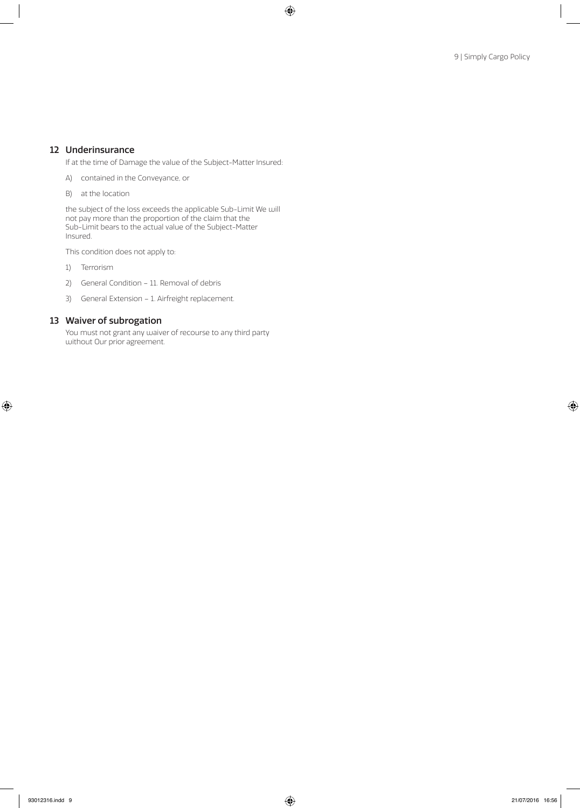### 12 Underinsurance

If at the time of Damage the value of the Subject-Matter Insured:

- A) contained in the Conveyance, or
- B) at the location

the subject of the loss exceeds the applicable Sub-Limit We will not pay more than the proportion of the claim that the Sub-Limit bears to the actual value of the Subject-Matter Insured.

This condition does not apply to:

- 1) Terrorism
- 2) General Condition 11. Removal of debris
- 3) General Extension 1. Airfreight replacement.

### 13 Waiver of subrogation

You must not grant any waiver of recourse to any third party without Our prior agreement.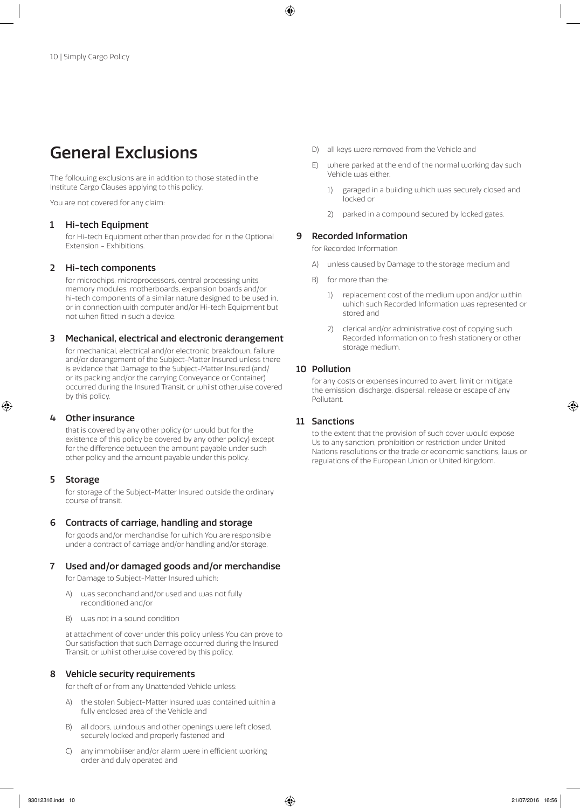# General Exclusions

The following exclusions are in addition to those stated in the Institute Cargo Clauses applying to this policy.

You are not covered for any claim:

### 1 Hi-tech Equipment

for Hi-tech Equipment other than provided for in the Optional Extension - Exhibitions.

### 2 Hi-tech components

for microchips, microprocessors, central processing units, memory modules, motherboards, expansion boards and/or hi-tech components of a similar nature designed to be used in, or in connection with computer and/or Hi-tech Equipment but not when fitted in such a device.

### 3 Mechanical, electrical and electronic derangement

for mechanical, electrical and/or electronic breakdown, failure and/or derangement of the Subject-Matter Insured unless there is evidence that Damage to the Subject-Matter Insured (and/ or its packing and/or the carrying Conveyance or Container) occurred during the Insured Transit, or whilst otherwise covered by this policy.

### 4 Other insurance

that is covered by any other policy (or would but for the existence of this policy be covered by any other policy) except for the difference between the amount payable under such other policy and the amount payable under this policy.

### 5 Storage

for storage of the Subject-Matter Insured outside the ordinary course of transit.

### 6 Contracts of carriage, handling and storage

for goods and/or merchandise for which You are responsible under a contract of carriage and/or handling and/or storage.

### 7 Used and/or damaged goods and/or merchandise

for Damage to Subject-Matter Insured which:

- was secondhand and/or used and was not fully reconditioned and/or
- B) was not in a sound condition

at attachment of cover under this policy unless You can prove to Our satisfaction that such Damage occurred during the Insured Transit, or whilst otherwise covered by this policy.

### 8 Vehicle security requirements

for theft of or from any Unattended Vehicle unless:

- A) the stolen Subject-Matter Insured was contained within a fully enclosed area of the Vehicle and
- B) all doors, windows and other openings were left closed, securely locked and properly fastened and
- C) any immobiliser and/or alarm were in efficient working order and duly operated and
- D) all keys were removed from the Vehicle and
- E) where parked at the end of the normal working day such Vehicle was either.
	- 1) garaged in a building which was securely closed and locked or
	- 2) parked in a compound secured by locked gates.

### 9 Recorded Information

for Recorded Information

- A) unless caused by Damage to the storage medium and
- B) for more than the:
	- 1) replacement cost of the medium upon and/or within which such Recorded Information was represented or stored and
	- 2) clerical and/or administrative cost of copying such Recorded Information on to fresh stationery or other storage medium.

### 10 Pollution

for any costs or expenses incurred to avert, limit or mitigate the emission, discharge, dispersal, release or escape of any Pollutant.

### 11 Sanctions

to the extent that the provision of such cover would expose Us to any sanction, prohibition or restriction under United Nations resolutions or the trade or economic sanctions, laws or regulations of the European Union or United Kingdom.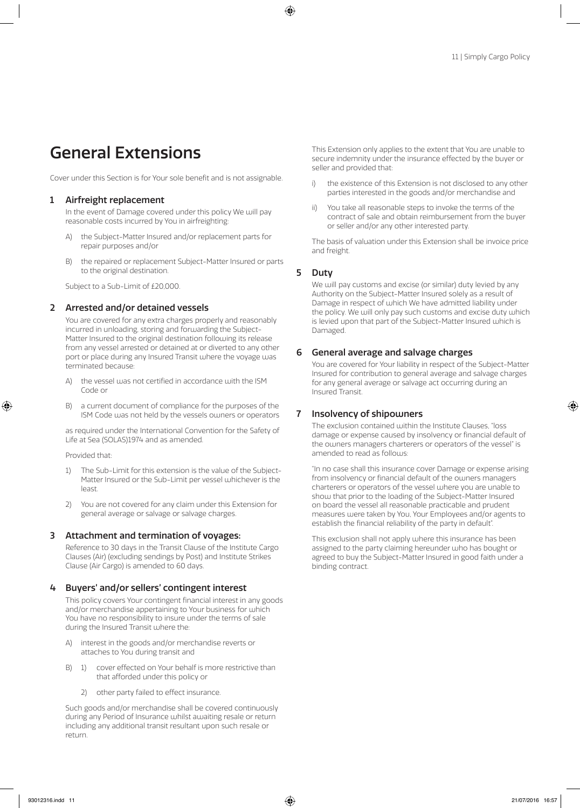# General Extensions

Cover under this Section is for Your sole benefit and is not assignable.

### 1 Airfreight replacement

In the event of Damage covered under this policy We will pay reasonable costs incurred by You in airfreighting:

- A) the Subject-Matter Insured and/or replacement parts for repair purposes and/or
- B) the repaired or replacement Subject-Matter Insured or parts to the original destination.

Subject to a Sub-Limit of £20,000.

### 2 Arrested and/or detained vessels

You are covered for any extra charges properly and reasonably incurred in unloading, storing and forwarding the Subject-Matter Insured to the original destination following its release from any vessel arrested or detained at or diverted to any other port or place during any Insured Transit where the voyage was terminated because:

- A) the vessel was not certified in accordance with the ISM Code or
- B) a current document of compliance for the purposes of the ISM Code was not held by the vessels owners or operators

as required under the International Convention for the Safety of Life at Sea (SOLAS)1974 and as amended.

Provided that:

- 1) The Sub-Limit for this extension is the value of the Subject-Matter Insured or the Sub-Limit per vessel whichever is the least.
- 2) You are not covered for any claim under this Extension for general average or salvage or salvage charges.

### 3 Attachment and termination of voyages:

Reference to 30 days in the Transit Clause of the Institute Cargo Clauses (Air) (excluding sendings by Post) and Institute Strikes Clause (Air Cargo) is amended to 60 days.

### 4 Buyers' and/or sellers' contingent interest

This policy covers Your contingent financial interest in any goods and/or merchandise appertaining to Your business for which You have no responsibility to insure under the terms of sale during the Insured Transit where the:

- interest in the goods and/or merchandise reverts or attaches to You during transit and
- B) 1) cover effected on Your behalf is more restrictive than that afforded under this policy or
	- 2) other party failed to effect insurance.

Such goods and/or merchandise shall be covered continuously during any Period of Insurance whilst awaiting resale or return including any additional transit resultant upon such resale or return.

This Extension only applies to the extent that You are unable to secure indemnity under the insurance effected by the buyer or seller and provided that:

- i) the existence of this Extension is not disclosed to any other parties interested in the goods and/or merchandise and
- ii) You take all reasonable steps to invoke the terms of the contract of sale and obtain reimbursement from the buyer or seller and/or any other interested party.

The basis of valuation under this Extension shall be invoice price and freight.

### 5 Duty

We will pay customs and excise (or similar) duty levied by any Authority on the Subject-Matter Insured solely as a result of Damage in respect of which We have admitted liability under the policy. We will only pay such customs and excise duty which is levied upon that part of the Subject-Matter Insured which is Damaged.

### 6 General average and salvage charges

You are covered for Your liability in respect of the Subject-Matter Insured for contribution to general average and salvage charges for any general average or salvage act occurring during an Insured Transit.

### 7 Insolvency of shipowners

The exclusion contained within the Institute Clauses, "loss damage or expense caused by insolvency or financial default of the owners managers charterers or operators of the vessel" is amended to read as follows:

"In no case shall this insurance cover Damage or expense arising from insolvency or financial default of the owners managers charterers or operators of the vessel where you are unable to show that prior to the loading of the Subject-Matter Insured on board the vessel all reasonable practicable and prudent measures were taken by You, Your Employees and/or agents to establish the financial reliability of the party in default".

This exclusion shall not apply where this insurance has been assigned to the party claiming hereunder who has bought or agreed to buy the Subject-Matter Insured in good faith under a binding contract.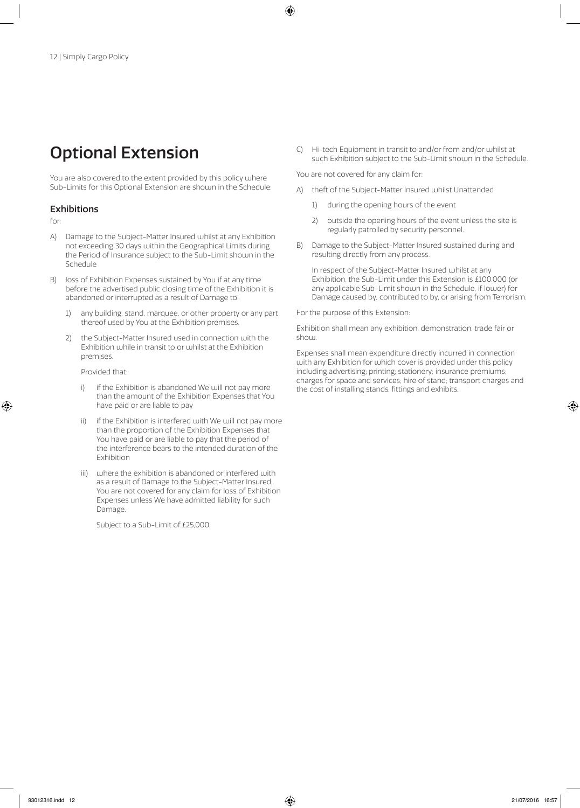# Optional Extension

You are also covered to the extent provided by this policy where Sub-Limits for this Optional Extension are shown in the Schedule:

### Exhibitions

for:

- A) Damage to the Subject-Matter Insured whilst at any Exhibition not exceeding 30 days within the Geographical Limits during the Period of Insurance subject to the Sub-Limit shown in the Schedule
- B) loss of Exhibition Expenses sustained by You if at any time before the advertised public closing time of the Exhibition it is abandoned or interrupted as a result of Damage to:
	- 1) any building, stand, marquee, or other property or any part thereof used by You at the Exhibition premises.
	- the Subject-Matter Insured used in connection with the Exhibition while in transit to or whilst at the Exhibition premises.

Provided that:

- i) if the Exhibition is abandoned We will not pay more than the amount of the Exhibition Expenses that You have paid or are liable to pay
- ii) if the Exhibition is interfered with We will not pay more than the proportion of the Exhibition Expenses that You have paid or are liable to pay that the period of the interference bears to the intended duration of the Exhibition
- iii) where the exhibition is abandoned or interfered with as a result of Damage to the Subject-Matter Insured, You are not covered for any claim for loss of Exhibition Expenses unless We have admitted liability for such Damage.

Subject to a Sub-Limit of £25,000.

C) Hi-tech Equipment in transit to and/or from and/or whilst at such Exhibition subject to the Sub-Limit shown in the Schedule.

You are not covered for any claim for:

- A) theft of the Subject-Matter Insured whilst Unattended
	- 1) during the opening hours of the event
	- 2) outside the opening hours of the event unless the site is regularly patrolled by security personnel.
- B) Damage to the Subject-Matter Insured sustained during and resulting directly from any process.

In respect of the Subject-Matter Insured whilst at any Exhibition, the Sub-Limit under this Extension is £100,000 (or any applicable Sub-Limit shown in the Schedule, if lower) for Damage caused by, contributed to by, or arising from Terrorism.

For the purpose of this Extension:

Exhibition shall mean any exhibition, demonstration, trade fair or show

Expenses shall mean expenditure directly incurred in connection with any Exhibition for which cover is provided under this policy including advertising; printing; stationery; insurance premiums; charges for space and services; hire of stand; transport charges and the cost of installing stands, fittings and exhibits.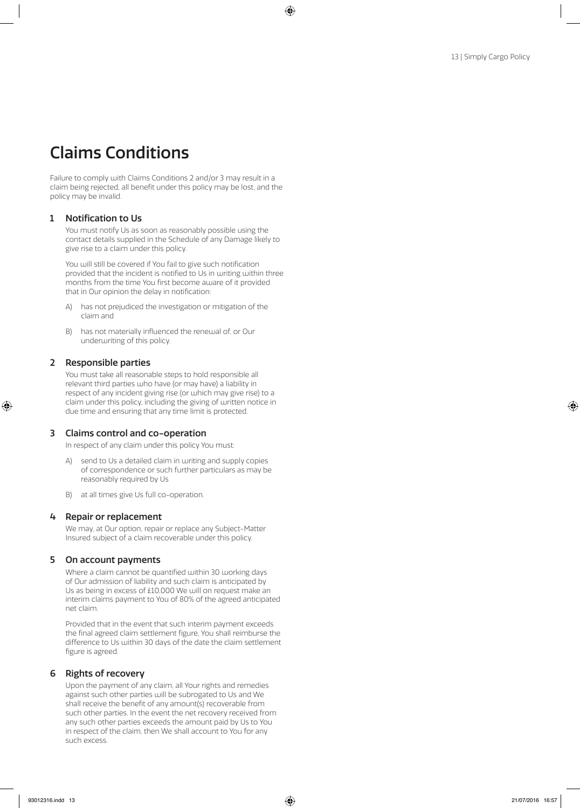# Claims Conditions

Failure to comply with Claims Conditions 2 and/or 3 may result in a claim being rejected, all benefit under this policy may be lost, and the policy may be invalid.

#### 1 Notification to Us

You must notify Us as soon as reasonably possible using the contact details supplied in the Schedule of any Damage likely to give rise to a claim under this policy.

You will still be covered if You fail to give such notification provided that the incident is notified to Us in writing within three months from the time You first become aware of it provided that in Our opinion the delay in notification:

- A) has not prejudiced the investigation or mitigation of the claim and
- B) has not materially influenced the renewal of, or Our underwriting of this policy.

#### 2 Responsible parties

You must take all reasonable steps to hold responsible all relevant third parties who have (or may have) a liability in respect of any incident giving rise (or which may give rise) to a claim under this policy, including the giving of written notice in due time and ensuring that any time limit is protected.

#### 3 Claims control and co-operation

In respect of any claim under this policy You must:

- send to Us a detailed claim in writing and supply copies of correspondence or such further particulars as may be reasonably required by Us
- B) at all times give Us full co-operation.

#### 4 Repair or replacement

We may, at Our option, repair or replace any Subject-Matter Insured subject of a claim recoverable under this policy.

#### 5 On account payments

Where a claim cannot be quantified within 30 working days of Our admission of liability and such claim is anticipated by Us as being in excess of £10,000 We will on request make an interim claims payment to You of 80% of the agreed anticipated net claim.

Provided that in the event that such interim payment exceeds the final agreed claim settlement figure, You shall reimburse the difference to Us within 30 days of the date the claim settlement figure is agreed.

### 6 Rights of recovery

Upon the payment of any claim, all Your rights and remedies against such other parties will be subrogated to Us and We shall receive the benefit of any amount(s) recoverable from such other parties. In the event the net recovery received from any such other parties exceeds the amount paid by Us to You in respect of the claim, then We shall account to You for any such excess.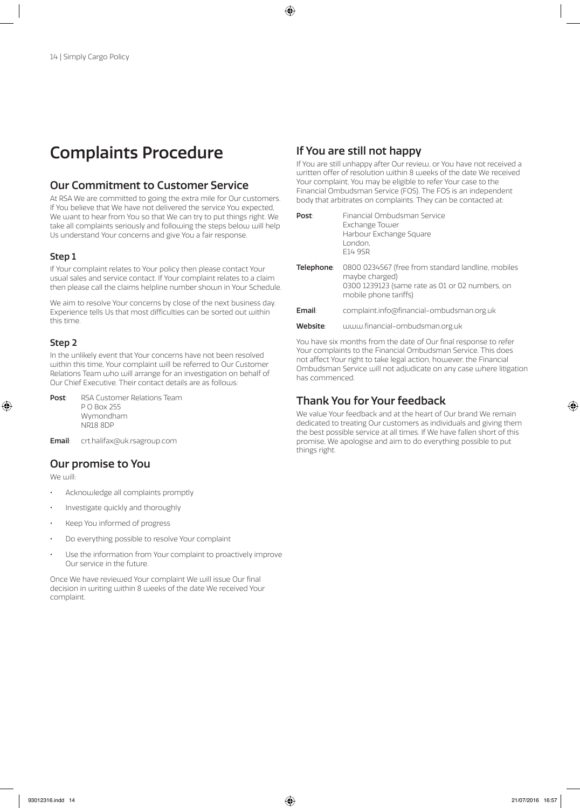# Complaints Procedure

# Our Commitment to Customer Service

At RSA We are committed to going the extra mile for Our customers. If You believe that We have not delivered the service You expected, We want to hear from You so that We can try to put things right. We take all complaints seriously and following the steps below will help Us understand Your concerns and give You a fair response.

### Step 1

If Your complaint relates to Your policy then please contact Your usual sales and service contact. If Your complaint relates to a claim then please call the claims helpline number shown in Your Schedule.

We aim to resolve Your concerns by close of the next business day. Experience tells Us that most difficulties can be sorted out within this time.

### Step 2

In the unlikely event that Your concerns have not been resolved within this time, Your complaint will be referred to Our Customer Relations Team who will arrange for an investigation on behalf of Our Chief Executive. Their contact details are as follows:

| Post: | RSA Customer Relations Team |
|-------|-----------------------------|
|       | P O Box 255                 |
|       | Wymondham                   |
|       | <b>NR18 8DP</b>             |

Email: crt.halifax@uk.rsagroup.com

# Our promise to You

We will:

- Acknowledge all complaints promptly
- Investigate quickly and thoroughly
- Keep You informed of progress
- Do everything possible to resolve Your complaint
- Use the information from Your complaint to proactively improve Our service in the future.

Once We have reviewed Your complaint We will issue Our final decision in writing within 8 weeks of the date We received Your complaint.

# If You are still not happy

If You are still unhappy after Our review, or You have not received a written offer of resolution within 8 weeks of the date We received Your complaint, You may be eligible to refer Your case to the Financial Ombudsman Service (FOS). The FOS is an independent body that arbitrates on complaints. They can be contacted at:

| <b>Post</b>       | Financial Ombudsman Service<br>Exchange Tower<br>Harbour Exchange Square<br>London.<br><b>E14 9SR</b>                                            |
|-------------------|--------------------------------------------------------------------------------------------------------------------------------------------------|
| <b>Telephone:</b> | 0800 0234567 (free from standard landline, mobiles<br>maybe charged)<br>0300 1239123 (same rate as 01 or 02 numbers, on<br>mobile phone tariffs) |
| Email             | complaint.info@financial-ombudsman.org.uk                                                                                                        |
| Website           | www.financial-ombudsman.org.uk                                                                                                                   |

You have six months from the date of Our final response to refer Your complaints to the Financial Ombudsman Service. This does not affect Your right to take legal action, however, the Financial Ombudsman Service will not adjudicate on any case where litigation has commenced.

# Thank You for Your feedback

We value Your feedback and at the heart of Our brand We remain dedicated to treating Our customers as individuals and giving them the best possible service at all times. If We have fallen short of this promise, We apologise and aim to do everything possible to put things right.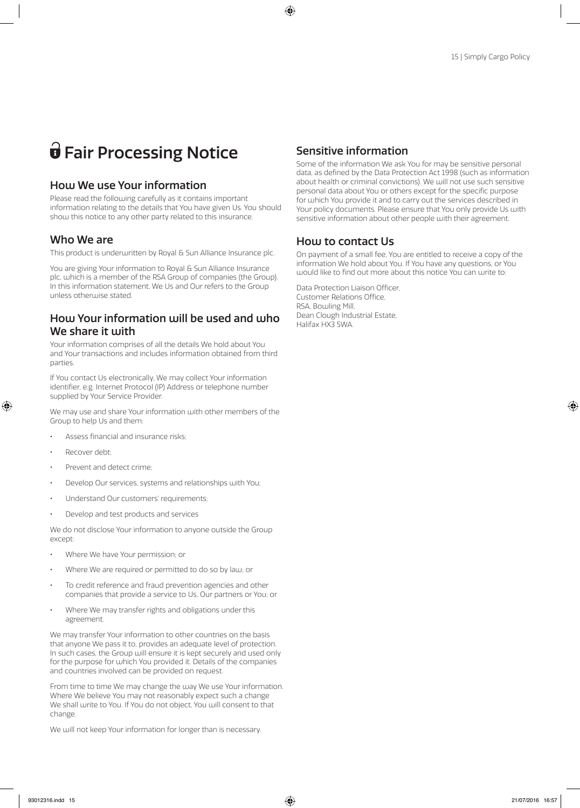# $\widehat{\mathbf{u}}$  Fair Processing Notice

### How We use Your information

Please read the following carefully as it contains important information relating to the details that You have given Us. You should show this notice to any other party related to this insurance.

### Who We are

This product is underwritten by Royal & Sun Alliance Insurance plc.

You are giving Your information to Royal & Sun Alliance Insurance plc, which is a member of the RSA Group of companies (the Group). In this information statement, We Us and Our refers to the Group unless otherwise stated.

# How Your information will be used and who We share it with

Your information comprises of all the details We hold about You and Your transactions and includes information obtained from third parties.

If You contact Us electronically, We may collect Your information identifier, e.g. Internet Protocol (IP) Address or telephone number supplied by Your Service Provider.

We may use and share Your information with other members of the Group to help Us and them:

- Assess financial and insurance risks;
- Recover debt:
- Prevent and detect crime:
- Develop Our services, systems and relationships with You;
- Understand Our customers' requirements;
- Develop and test products and services

We do not disclose Your information to anyone outside the Group except:

- Where We have Your permission; or
- Where We are required or permitted to do so by law; or
- To credit reference and fraud prevention agencies and other companies that provide a service to Us, Our partners or You; or
- Where We may transfer rights and obligations under this agreement.

We may transfer Your information to other countries on the basis that anyone We pass it to, provides an adequate level of protection. In such cases, the Group will ensure it is kept securely and used only for the purpose for which You provided it. Details of the companies and countries involved can be provided on request.

From time to time We may change the way We use Your information. Where We believe You may not reasonably expect such a change We shall write to You. If You do not object, You will consent to that change.

We will not keep Your information for longer than is necessary.

# Sensitive information

Some of the information We ask You for may be sensitive personal data, as defined by the Data Protection Act 1998 (such as information about health or criminal convictions). We will not use such sensitive personal data about You or others except for the specific purpose for which You provide it and to carry out the services described in Your policy documents. Please ensure that You only provide Us with sensitive information about other people with their agreement.

### How to contact Us

On payment of a small fee, You are entitled to receive a copy of the information We hold about You. If You have any questions, or You would like to find out more about this notice You can write to:

Data Protection Liaison Officer, Customer Relations Office, RSA, Bowling Mill, Dean Clough Industrial Estate, Halifax HX3 5WA.